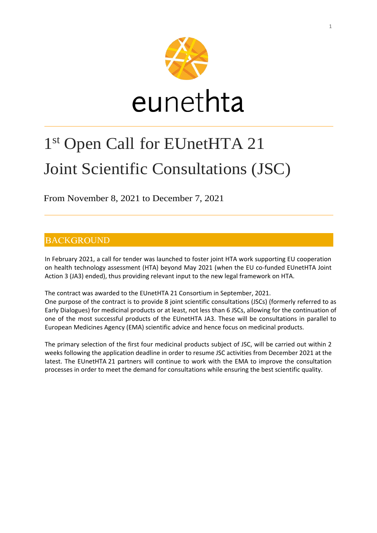

# 1 st Open Call for EUnetHTA 21 Joint Scientific Consultations (JSC)

From November 8, 2021 to December 7, 2021

## **BACKGROUND**

In February 2021, a call for tender was launched to foster joint HTA work supporting EU cooperation on health technology assessment (HTA) beyond May 2021 (when the EU co-funded EUnetHTA Joint Action 3 (JA3) ended), thus providing relevant input to the new legal framework on HTA.

The contract was awarded to the EUnetHTA 21 Consortium in September, 2021.

One purpose of the contract is to provide 8 joint scientific consultations (JSCs) (formerly referred to as Early Dialogues) for medicinal products or at least, not less than 6 JSCs, allowing for the continuation of one of the most successful products of the EUnetHTA JA3. These will be consultations in parallel to European Medicines Agency (EMA) scientific advice and hence focus on medicinal products.

The primary selection of the first four medicinal products subject of JSC, will be carried out within 2 weeks following the application deadline in order to resume JSC activities from December 2021 at the latest. The EUnetHTA 21 partners will continue to work with the EMA to improve the consultation processes in order to meet the demand for consultations while ensuring the best scientific quality.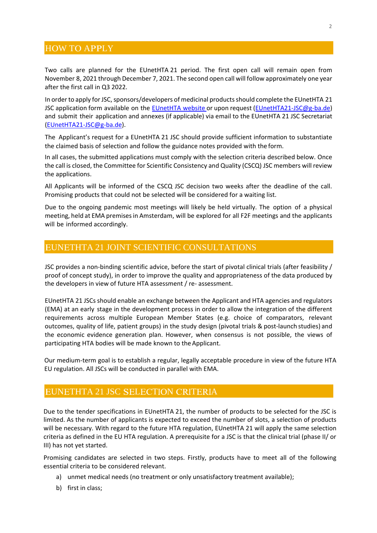#### **HOW TO APPLY**

Two calls are planned for the EUnetHTA 21 period. The first open call will remain open from November 8, 2021 through December 7, 2021. The second open call will follow approximately one year after the first call in Q3 2022.

In order to apply for JSC, sponsors/developers of medicinal productsshould complete the EUnetHTA 21 JSC application form available on the [EUnetHTA](https://www.eunethta.eu/) website or upon request [\(EUnetHTA21-JSC@g-ba.de\)](mailto:EUnetHTA21-JSC@g-ba.de) and submit their application and annexes (if applicable) via email to the EUnetHTA 21 JSC Secretariat [\(EUnetHTA21-JSC@g-ba.de\)](mailto:EUnetHTA21-JSC@g-ba.de).

The Applicant's request for a EUnetHTA 21 JSC should provide sufficient information to substantiate the claimed basis of selection and follow the guidance notes provided with the form.

In all cases, the submitted applications must comply with the selection criteria described below. Once the call is closed, the Committee for Scientific Consistency and Quality (CSCQ) JSC members will review the applications.

All Applicants will be informed of the CSCQ JSC decision two weeks after the deadline of the call. Promising products that could not be selected will be considered for a waiting list.

Due to the ongoing pandemic most meetings will likely be held virtually. The option of a physical meeting, held at EMA premises in Amsterdam, will be explored for all F2F meetings and the applicants will be informed accordingly.

#### EUNETHTA 21 JOINT SCIENTIFIC CONSULTATIONS

JSC provides a non-binding scientific advice, before the start of pivotal clinical trials (after feasibility / proof of concept study), in order to improve the quality and appropriateness of the data produced by the developers in view of future HTA assessment / re- assessment.

EUnetHTA 21 JSCs should enable an exchange between the Applicant and HTA agencies and regulators (EMA) at an early stage in the development process in order to allow the integration of the different requirements across multiple European Member States (e.g. choice of comparators, relevant outcomes, quality of life, patient groups) in the study design (pivotal trials & post-launch studies) and the economic evidence generation plan. However, when consensus is not possible, the views of participating HTA bodies will be made known to the Applicant.

Our medium-term goal is to establish a regular, legally acceptable procedure in view of the future HTA EU regulation. All JSCs will be conducted in parallel with EMA.

#### EUNETHTA 21 JSC SELECTION CRITERIA

Due to the tender specifications in EUnetHTA 21, the number of products to be selected for the JSC is limited. As the number of applicants is expected to exceed the number of slots, a selection of products will be necessary. With regard to the future HTA regulation, EUnetHTA 21 will apply the same selection criteria as defined in the EU HTA regulation. A prerequisite for a JSC is that the clinical trial (phase II/ or III) has not yet started.

Promising candidates are selected in two steps. Firstly, products have to meet all of the following essential criteria to be considered relevant.

- a) unmet medical needs (no treatment or only unsatisfactory treatment available);
- b) first in class;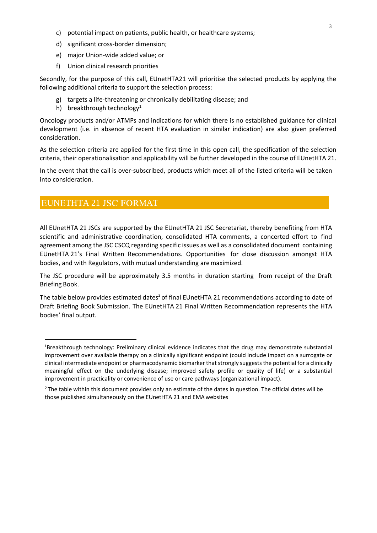- c) potential impact on patients, public health, or healthcare systems;
- d) significant cross-border dimension;
- e) major Union-wide added value; or
- f) Union clinical research priorities

Secondly, for the purpose of this call, EUnetHTA21 will prioritise the selected products by applying the following additional criteria to support the selection process:

- g) targets a life-threatening or chronically debilitating disease; and
- h) breakthrough technology<sup>1</sup>

Oncology products and/or ATMPs and indications for which there is no established guidance for clinical development (i.e. in absence of recent HTA evaluation in similar indication) are also given preferred consideration.

As the selection criteria are applied for the first time in this open call, the specification of the selection criteria, their operationalisation and applicability will be further developed in the course of EUnetHTA 21.

In the event that the call is over-subscribed, products which meet all of the listed criteria will be taken into consideration.

### EUNETHTA 21 JSC FORMAT

All EUnetHTA 21 JSCs are supported by the EUnetHTA 21 JSC Secretariat, thereby benefiting from HTA scientific and administrative coordination, consolidated HTA comments, a concerted effort to find agreement among the JSC CSCQ regarding specific issues as well as a consolidated document containing EUnetHTA 21's Final Written Recommendations. Opportunities for close discussion amongst HTA bodies, and with Regulators, with mutual understanding are maximized.

The JSC procedure will be approximately 3.5 months in duration starting from receipt of the Draft Briefing Book.

The table below provides estimated dates<sup>2</sup> of final EUnetHTA 21 recommendations according to date of Draft Briefing Book Submission. The EUnetHTA 21 Final Written Recommendation represents the HTA bodies' final output.

<sup>1</sup>Breakthrough technology: Preliminary clinical evidence indicates that the drug may demonstrate substantial improvement over available therapy on a clinically significant endpoint (could include impact on a surrogate or clinical intermediate endpoint or pharmacodynamic biomarker that strongly suggests the potential for a clinically meaningful effect on the underlying disease; improved safety profile or quality of life) or a substantial improvement in practicality or convenience of use or care pathways (organizational impact).

<sup>&</sup>lt;sup>2</sup>The table within this document provides only an estimate of the dates in question. The official dates will be those published simultaneously on the EUnetHTA 21 and EMA websites